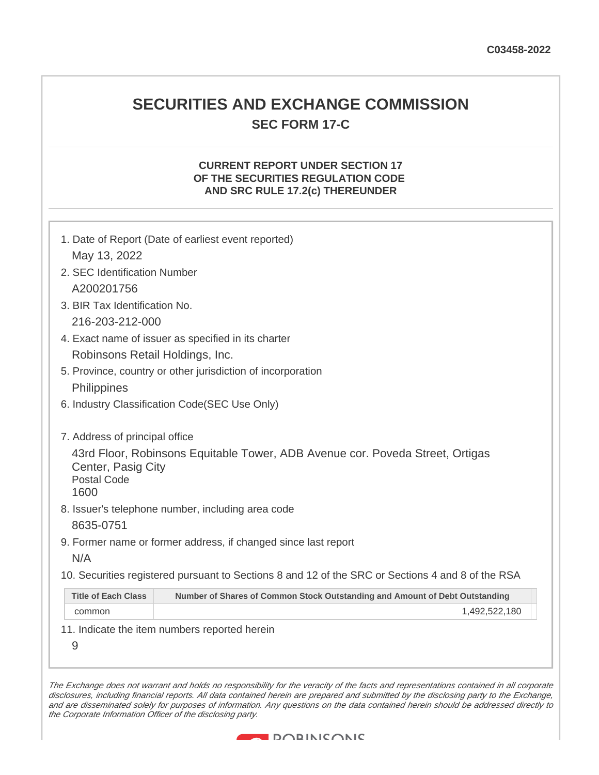# **SECURITIES AND EXCHANGE COMMISSION SEC FORM 17-C**

## **CURRENT REPORT UNDER SECTION 17 OF THE SECURITIES REGULATION CODE AND SRC RULE 17.2(c) THEREUNDER**

| 1. Date of Report (Date of earliest event reported) |                                                                                                   |  |  |
|-----------------------------------------------------|---------------------------------------------------------------------------------------------------|--|--|
| May 13, 2022                                        |                                                                                                   |  |  |
| 2. SEC Identification Number                        |                                                                                                   |  |  |
| A200201756                                          |                                                                                                   |  |  |
|                                                     | 3. BIR Tax Identification No.                                                                     |  |  |
| 216-203-212-000                                     |                                                                                                   |  |  |
|                                                     | 4. Exact name of issuer as specified in its charter                                               |  |  |
| Robinsons Retail Holdings, Inc.                     |                                                                                                   |  |  |
|                                                     | 5. Province, country or other jurisdiction of incorporation                                       |  |  |
| <b>Philippines</b>                                  |                                                                                                   |  |  |
| 6. Industry Classification Code(SEC Use Only)       |                                                                                                   |  |  |
| 7. Address of principal office                      |                                                                                                   |  |  |
| Center, Pasig City<br><b>Postal Code</b><br>1600    | 43rd Floor, Robinsons Equitable Tower, ADB Avenue cor. Poveda Street, Ortigas                     |  |  |
|                                                     | 8. Issuer's telephone number, including area code                                                 |  |  |
| 8635-0751                                           |                                                                                                   |  |  |
|                                                     | 9. Former name or former address, if changed since last report                                    |  |  |
| N/A                                                 |                                                                                                   |  |  |
|                                                     | 10. Securities registered pursuant to Sections 8 and 12 of the SRC or Sections 4 and 8 of the RSA |  |  |
| <b>Title of Each Class</b>                          | Number of Shares of Common Stock Outstanding and Amount of Debt Outstanding                       |  |  |
| common                                              | 1,492,522,180                                                                                     |  |  |
| 9                                                   | 11. Indicate the item numbers reported herein                                                     |  |  |

The Exchange does not warrant and holds no responsibility for the veracity of the facts and representations contained in all corporate disclosures, including financial reports. All data contained herein are prepared and submitted by the disclosing party to the Exchange, and are disseminated solely for purposes of information. Any questions on the data contained herein should be addressed directly to the Corporate Information Officer of the disclosing party.

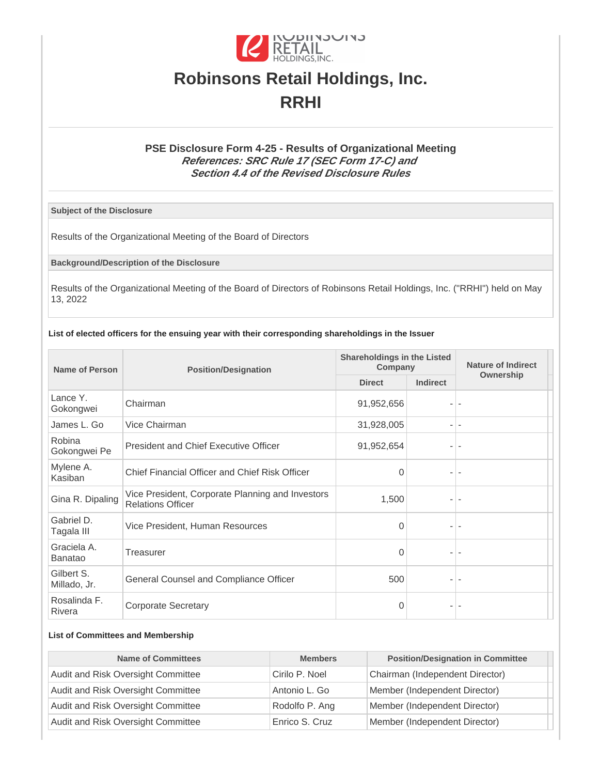

# **Robinsons Retail Holdings, Inc. RRHI**

## **PSE Disclosure Form 4-25 - Results of Organizational Meeting References: SRC Rule 17 (SEC Form 17-C) and Section 4.4 of the Revised Disclosure Rules**

**Subject of the Disclosure**

Results of the Organizational Meeting of the Board of Directors

**Background/Description of the Disclosure**

Results of the Organizational Meeting of the Board of Directors of Robinsons Retail Holdings, Inc. ("RRHI") held on May 13, 2022

#### **List of elected officers for the ensuing year with their corresponding shareholdings in the Issuer**

| <b>Name of Person</b>         | <b>Position/Designation</b>                                                  | <b>Shareholdings in the Listed</b><br>Company |                          | <b>Nature of Indirect</b> |
|-------------------------------|------------------------------------------------------------------------------|-----------------------------------------------|--------------------------|---------------------------|
|                               |                                                                              | <b>Direct</b>                                 | <b>Indirect</b>          | Ownership                 |
| Lance Y.<br>Gokongwei         | Chairman                                                                     | 91,952,656                                    |                          |                           |
| James L. Go                   | Vice Chairman                                                                | 31,928,005                                    |                          | $\overline{\phantom{a}}$  |
| Robina<br>Gokongwei Pe        | President and Chief Executive Officer                                        | 91,952,654                                    |                          |                           |
| Mylene A.<br>Kasiban          | Chief Financial Officer and Chief Risk Officer                               | 0                                             | $\overline{\phantom{a}}$ | $\overline{\phantom{a}}$  |
| Gina R. Dipaling              | Vice President, Corporate Planning and Investors<br><b>Relations Officer</b> | 1,500                                         |                          |                           |
| Gabriel D.<br>Tagala III      | Vice President, Human Resources                                              | $\Omega$                                      |                          |                           |
| Graciela A.<br><b>Banatao</b> | Treasurer                                                                    | 0                                             |                          |                           |
| Gilbert S.<br>Millado, Jr.    | General Counsel and Compliance Officer                                       | 500                                           |                          |                           |
| Rosalinda F.<br>Rivera        | <b>Corporate Secretary</b>                                                   | 0                                             |                          |                           |

#### **List of Committees and Membership**

| <b>Name of Committees</b>          | <b>Members</b> | <b>Position/Designation in Committee</b> |
|------------------------------------|----------------|------------------------------------------|
| Audit and Risk Oversight Committee | Cirilo P. Noel | Chairman (Independent Director)          |
| Audit and Risk Oversight Committee | Antonio L. Go  | Member (Independent Director)            |
| Audit and Risk Oversight Committee | Rodolfo P. Ang | Member (Independent Director)            |
| Audit and Risk Oversight Committee | Enrico S. Cruz | Member (Independent Director)            |